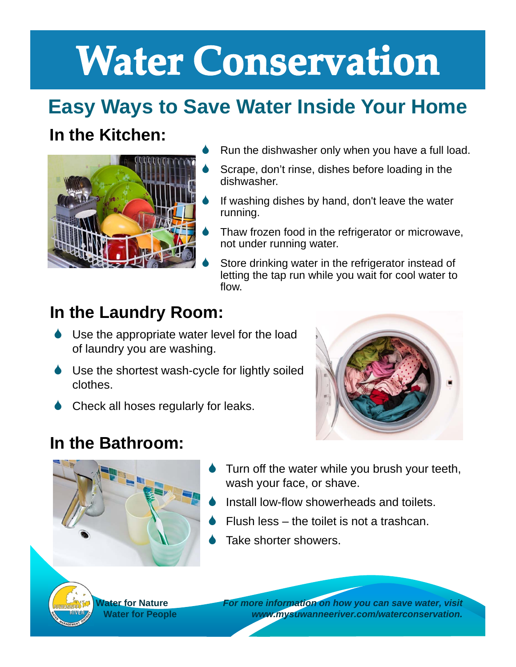# **Water Conservation**

# **Easy Ways to Save Water Inside Your Home**

### **In the Kitchen:**



- Run the dishwasher only when you have a full load.
- Scrape, don't rinse, dishes before loading in the dishwasher.
- If washing dishes by hand, don't leave the water running.
- Thaw frozen food in the refrigerator or microwave, not under running water.
- Store drinking water in the refrigerator instead of letting the tap run while you wait for cool water to flow.

### **In the Laundry Room:**

- **↓** Use the appropriate water level for the load of laundry you are washing.
- Use the shortest wash-cycle for lightly soiled clothes.
- ♦ Check all hoses regularly for leaks.



#### **In the Bathroom:**

- 
- Turn off the water while you brush your teeth, wash your face, or shave.
- Install low-flow showerheads and toilets.
- Flush less the toilet is not a trashcan.
- Take shorter showers.

**Water for Nature Water for People** *For more information on how you can save water, visit www.mysuwanneeriver.com/waterconservation.*